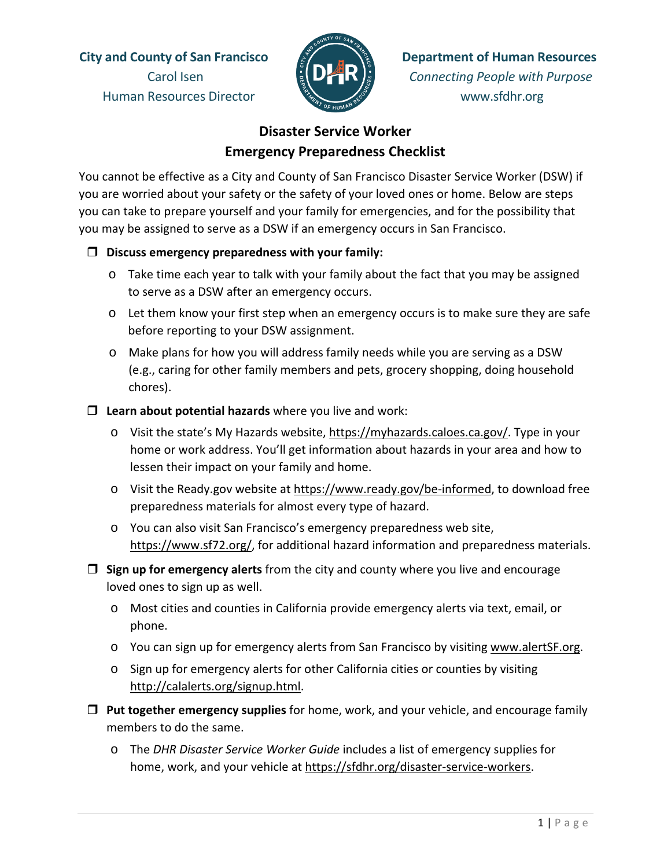Human Resources Director www.sfdhr.org



**City and County of San Francisco Department of Human Resources** Carol Isen *Connecting People with Purpose*

## **Disaster Service Worker Emergency Preparedness Checklist**

You cannot be effective as a City and County of San Francisco Disaster Service Worker (DSW) if you are worried about your safety or the safety of your loved ones or home. Below are steps you can take to prepare yourself and your family for emergencies, and for the possibility that you may be assigned to serve as a DSW if an emergency occurs in San Francisco.

## **Discuss emergency preparedness with your family:**

- o Take time each year to talk with your family about the fact that you may be assigned to serve as a DSW after an emergency occurs.
- o Let them know your first step when an emergency occurs is to make sure they are safe before reporting to your DSW assignment.
- o Make plans for how you will address family needs while you are serving as a DSW (e.g., caring for other family members and pets, grocery shopping, doing household chores).
- **Learn about potential hazards** where you live and work:
	- o Visit the state's My Hazards website, https://myhazards.caloes.ca.gov/. Type in your home or work address. You'll get information about hazards in your area and how to lessen their impact on your family and home.
	- o Visit the Ready.gov website at [https://www.ready.gov/be-informed,](https://www.ready.gov/be-informed) to download free preparedness materials for almost every type of hazard.
	- o You can also visit San Francisco's emergency preparedness web site, [https://www.sf72.org/,](https://www.sf72.org/hazards) for additional hazard information and preparedness materials.
- **Sign up for emergency alerts** from the city and county where you live and encourage loved ones to sign up as well.
	- o Most cities and counties in California provide emergency alerts via text, email, or phone.
	- o You can sign up for emergency alerts from San Francisco by visiting [www.alertSF.org.](http://www.alertsf.org/)
	- o Sign up for emergency alerts for other California cities or counties by visiting [http://calalerts.org/signup.html.](http://calalerts.org/signup.html)
- **Put together emergency supplies** for home, work, and your vehicle, and encourage family members to do the same.
	- o The *DHR Disaster Service Worker Guide* includes a list of emergency supplies for home, work, and your vehicle at [https://sfdhr.org/disaster-service-workers.](https://sfdhr.org/disaster-service-workers)